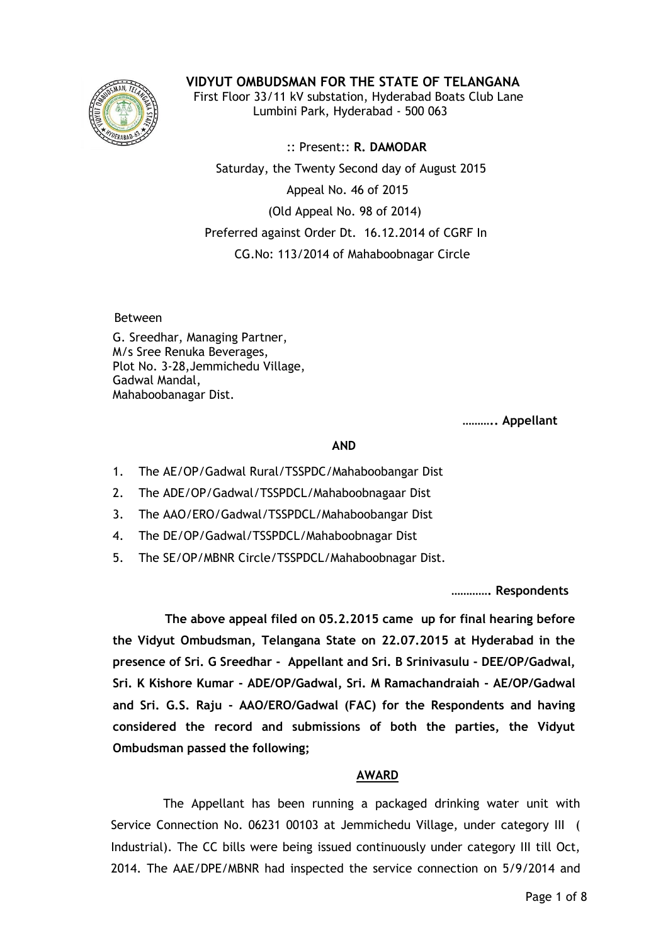

**VIDYUT OMBUDSMAN FOR THE STATE OF TELANGANA**

 First Floor 33/11 kV substation, Hyderabad Boats Club Lane Lumbini Park, Hyderabad - 500 063

 :: Present:: **R. DAMODAR** Saturday, the Twenty Second day of August 2015 Appeal No. 46 of 2015 (Old Appeal No. 98 of 2014) Preferred against Order Dt. 16.12.2014 of CGRF In CG.No: 113/2014 of Mahaboobnagar Circle

Between

G. Sreedhar, Managing Partner, M/s Sree Renuka Beverages, Plot No. 3-28,Jemmichedu Village, Gadwal Mandal, Mahaboobanagar Dist.

**……….. Appellant**

## **AND**

- 1. The AE/OP/Gadwal Rural/TSSPDC/Mahaboobangar Dist
- 2. The ADE/OP/Gadwal/TSSPDCL/Mahaboobnagaar Dist
- 3. The AAO/ERO/Gadwal/TSSPDCL/Mahaboobangar Dist
- 4. The DE/OP/Gadwal/TSSPDCL/Mahaboobnagar Dist
- 5. The SE/OP/MBNR Circle/TSSPDCL/Mahaboobnagar Dist.

**…………. Respondents**

 **The above appeal filed on 05.2.2015 came up for final hearing before the Vidyut Ombudsman, Telangana State on 22.07.2015 at Hyderabad in the presence of Sri. G Sreedhar - Appellant and Sri. B Srinivasulu - DEE/OP/Gadwal, Sri. K Kishore Kumar - ADE/OP/Gadwal, Sri. M Ramachandraiah - AE/OP/Gadwal and Sri. G.S. Raju - AAO/ERO/Gadwal (FAC) for the Respondents and having considered the record and submissions of both the parties, the Vidyut Ombudsman passed the following;**

## **AWARD**

 The Appellant has been running a packaged drinking water unit with Service Connection No. 06231 00103 at Jemmichedu Village, under category III ( Industrial). The CC bills were being issued continuously under category III till Oct, 2014. The AAE/DPE/MBNR had inspected the service connection on 5/9/2014 and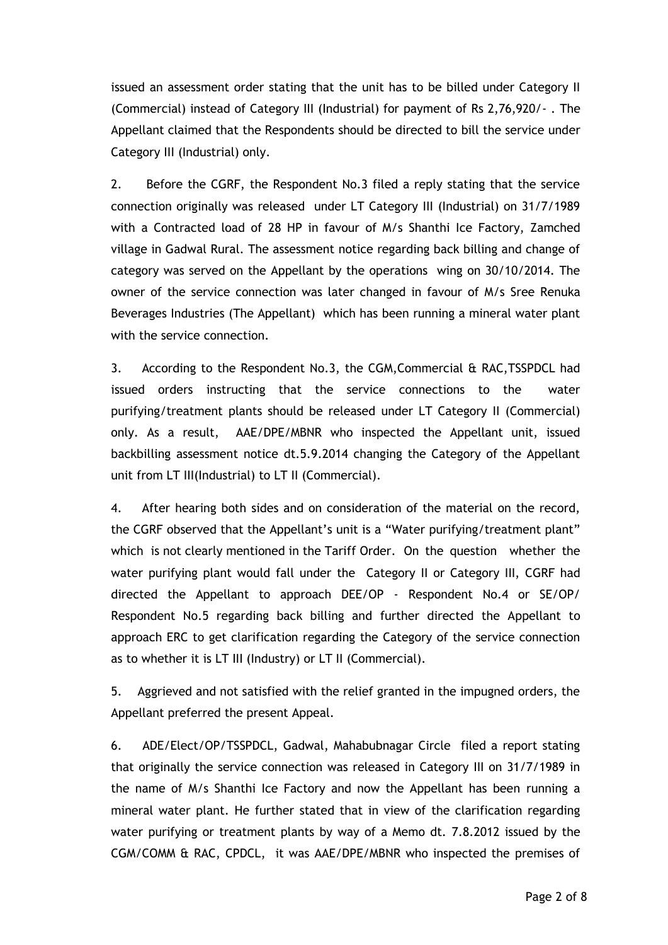issued an assessment order stating that the unit has to be billed under Category II (Commercial) instead of Category III (Industrial) for payment of Rs 2,76,920/- . The Appellant claimed that the Respondents should be directed to bill the service under Category III (Industrial) only.

2. Before the CGRF, the Respondent No.3 filed a reply stating that the service connection originally was released under LT Category III (Industrial) on 31/7/1989 with a Contracted load of 28 HP in favour of M/s Shanthi Ice Factory, Zamched village in Gadwal Rural. The assessment notice regarding back billing and change of category was served on the Appellant by the operations wing on 30/10/2014. The owner of the service connection was later changed in favour of M/s Sree Renuka Beverages Industries (The Appellant) which has been running a mineral water plant with the service connection.

3. According to the Respondent No.3, the CGM,Commercial & RAC,TSSPDCL had issued orders instructing that the service connections to the water purifying/treatment plants should be released under LT Category II (Commercial) only. As a result, AAE/DPE/MBNR who inspected the Appellant unit, issued backbilling assessment notice dt.5.9.2014 changing the Category of the Appellant unit from LT III(Industrial) to LT II (Commercial).

4. After hearing both sides and on consideration of the material on the record, the CGRF observed that the Appellant's unit is a "Water purifying/treatment plant" which is not clearly mentioned in the Tariff Order. On the question whether the water purifying plant would fall under the Category II or Category III, CGRF had directed the Appellant to approach DEE/OP - Respondent No.4 or SE/OP/ Respondent No.5 regarding back billing and further directed the Appellant to approach ERC to get clarification regarding the Category of the service connection as to whether it is LT III (Industry) or LT II (Commercial).

5. Aggrieved and not satisfied with the relief granted in the impugned orders, the Appellant preferred the present Appeal.

6. ADE/Elect/OP/TSSPDCL, Gadwal, Mahabubnagar Circle filed a report stating that originally the service connection was released in Category III on 31/7/1989 in the name of M/s Shanthi Ice Factory and now the Appellant has been running a mineral water plant. He further stated that in view of the clarification regarding water purifying or treatment plants by way of a Memo dt. 7.8.2012 issued by the CGM/COMM & RAC, CPDCL, it was AAE/DPE/MBNR who inspected the premises of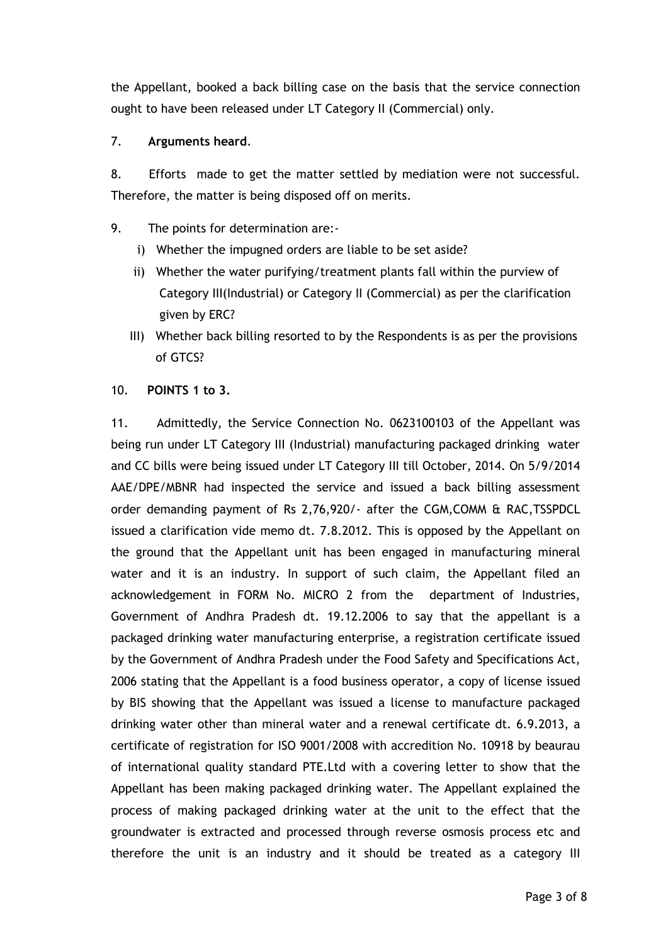the Appellant, booked a back billing case on the basis that the service connection ought to have been released under LT Category II (Commercial) only.

## 7. **Arguments heard**.

8. Efforts made to get the matter settled by mediation were not successful. Therefore, the matter is being disposed off on merits.

- 9. The points for determination are:
	- i) Whether the impugned orders are liable to be set aside?
	- ii) Whether the water purifying/treatment plants fall within the purview of Category III(Industrial) or Category II (Commercial) as per the clarification given by ERC?
	- III) Whether back billing resorted to by the Respondents is as per the provisions of GTCS?
- 10. **POINTS 1 to 3.**

11. Admittedly, the Service Connection No. 0623100103 of the Appellant was being run under LT Category III (Industrial) manufacturing packaged drinking water and CC bills were being issued under LT Category III till October, 2014. On 5/9/2014 AAE/DPE/MBNR had inspected the service and issued a back billing assessment order demanding payment of Rs 2,76,920/- after the CGM,COMM & RAC,TSSPDCL issued a clarification vide memo dt. 7.8.2012. This is opposed by the Appellant on the ground that the Appellant unit has been engaged in manufacturing mineral water and it is an industry. In support of such claim, the Appellant filed an acknowledgement in FORM No. MICRO 2 from the department of Industries, Government of Andhra Pradesh dt. 19.12.2006 to say that the appellant is a packaged drinking water manufacturing enterprise, a registration certificate issued by the Government of Andhra Pradesh under the Food Safety and Specifications Act, 2006 stating that the Appellant is a food business operator, a copy of license issued by BIS showing that the Appellant was issued a license to manufacture packaged drinking water other than mineral water and a renewal certificate dt. 6.9.2013, a certificate of registration for ISO 9001/2008 with accredition No. 10918 by beaurau of international quality standard PTE.Ltd with a covering letter to show that the Appellant has been making packaged drinking water. The Appellant explained the process of making packaged drinking water at the unit to the effect that the groundwater is extracted and processed through reverse osmosis process etc and therefore the unit is an industry and it should be treated as a category III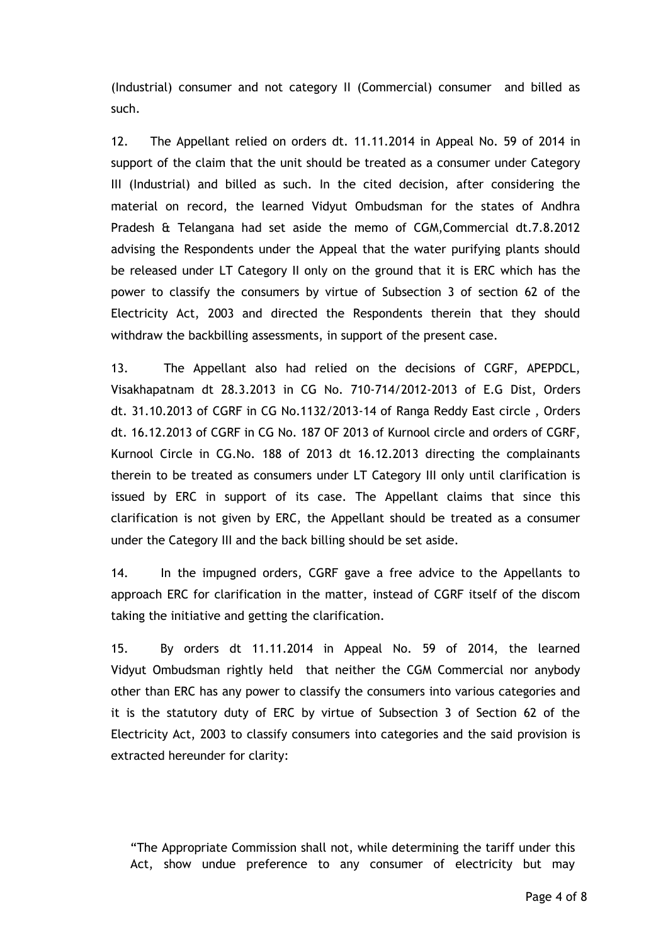(Industrial) consumer and not category II (Commercial) consumer and billed as such.

12. The Appellant relied on orders dt. 11.11.2014 in Appeal No. 59 of 2014 in support of the claim that the unit should be treated as a consumer under Category III (Industrial) and billed as such. In the cited decision, after considering the material on record, the learned Vidyut Ombudsman for the states of Andhra Pradesh & Telangana had set aside the memo of CGM,Commercial dt.7.8.2012 advising the Respondents under the Appeal that the water purifying plants should be released under LT Category II only on the ground that it is ERC which has the power to classify the consumers by virtue of Subsection 3 of section 62 of the Electricity Act, 2003 and directed the Respondents therein that they should withdraw the backbilling assessments, in support of the present case.

13. The Appellant also had relied on the decisions of CGRF, APEPDCL, Visakhapatnam dt 28.3.2013 in CG No. 710-714/2012-2013 of E.G Dist, Orders dt. 31.10.2013 of CGRF in CG No.1132/2013-14 of Ranga Reddy East circle , Orders dt. 16.12.2013 of CGRF in CG No. 187 OF 2013 of Kurnool circle and orders of CGRF, Kurnool Circle in CG.No. 188 of 2013 dt 16.12.2013 directing the complainants therein to be treated as consumers under LT Category III only until clarification is issued by ERC in support of its case. The Appellant claims that since this clarification is not given by ERC, the Appellant should be treated as a consumer under the Category III and the back billing should be set aside.

14. In the impugned orders, CGRF gave a free advice to the Appellants to approach ERC for clarification in the matter, instead of CGRF itself of the discom taking the initiative and getting the clarification.

15. By orders dt 11.11.2014 in Appeal No. 59 of 2014, the learned Vidyut Ombudsman rightly held that neither the CGM Commercial nor anybody other than ERC has any power to classify the consumers into various categories and it is the statutory duty of ERC by virtue of Subsection 3 of Section 62 of the Electricity Act, 2003 to classify consumers into categories and the said provision is extracted hereunder for clarity:

"The Appropriate Commission shall not, while determining the tariff under this Act, show undue preference to any consumer of electricity but may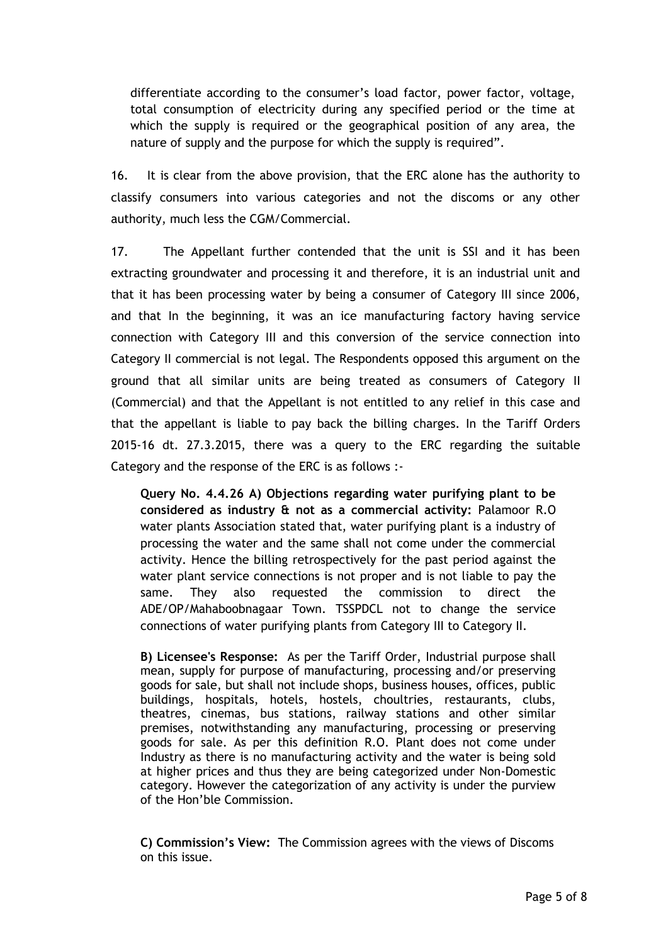differentiate according to the consumer's load factor, power factor, voltage, total consumption of electricity during any specified period or the time at which the supply is required or the geographical position of any area, the nature of supply and the purpose for which the supply is required".

16. It is clear from the above provision, that the ERC alone has the authority to classify consumers into various categories and not the discoms or any other authority, much less the CGM/Commercial.

17. The Appellant further contended that the unit is SSI and it has been extracting groundwater and processing it and therefore, it is an industrial unit and that it has been processing water by being a consumer of Category III since 2006, and that In the beginning, it was an ice manufacturing factory having service connection with Category III and this conversion of the service connection into Category II commercial is not legal. The Respondents opposed this argument on the ground that all similar units are being treated as consumers of Category II (Commercial) and that the Appellant is not entitled to any relief in this case and that the appellant is liable to pay back the billing charges. In the Tariff Orders 2015-16 dt. 27.3.2015, there was a query to the ERC regarding the suitable Category and the response of the ERC is as follows :-

**Query No. 4.4.26 A) Objections regarding water purifying plant to be considered as industry & not as a commercial activity:** Palamoor R.O water plants Association stated that, water purifying plant is a industry of processing the water and the same shall not come under the commercial activity. Hence the billing retrospectively for the past period against the water plant service connections is not proper and is not liable to pay the same. They also requested the commission to direct the ADE/OP/Mahaboobnagaar Town. TSSPDCL not to change the service connections of water purifying plants from Category III to Category II.

**B) Licensee's Response:** As per the Tariff Order, Industrial purpose shall mean, supply for purpose of manufacturing, processing and/or preserving goods for sale, but shall not include shops, business houses, offices, public buildings, hospitals, hotels, hostels, choultries, restaurants, clubs, theatres, cinemas, bus stations, railway stations and other similar premises, notwithstanding any manufacturing, processing or preserving goods for sale. As per this definition R.O. Plant does not come under Industry as there is no manufacturing activity and the water is being sold at higher prices and thus they are being categorized under Non-Domestic category. However the categorization of any activity is under the purview of the Hon'ble Commission.

**C) Commission's View:** The Commission agrees with the views of Discoms on this issue.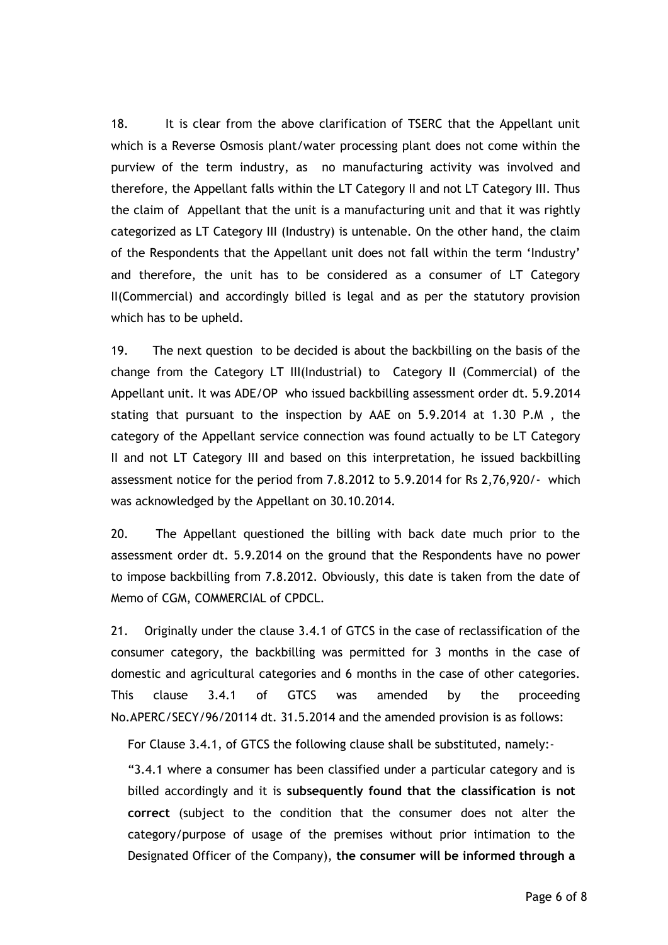18. It is clear from the above clarification of TSERC that the Appellant unit which is a Reverse Osmosis plant/water processing plant does not come within the purview of the term industry, as no manufacturing activity was involved and therefore, the Appellant falls within the LT Category II and not LT Category III. Thus the claim of Appellant that the unit is a manufacturing unit and that it was rightly categorized as LT Category III (Industry) is untenable. On the other hand, the claim of the Respondents that the Appellant unit does not fall within the term 'Industry' and therefore, the unit has to be considered as a consumer of LT Category II(Commercial) and accordingly billed is legal and as per the statutory provision which has to be upheld.

19. The next question to be decided is about the backbilling on the basis of the change from the Category LT III(Industrial) to Category II (Commercial) of the Appellant unit. It was ADE/OP who issued backbilling assessment order dt. 5.9.2014 stating that pursuant to the inspection by AAE on 5.9.2014 at 1.30 P.M , the category of the Appellant service connection was found actually to be LT Category II and not LT Category III and based on this interpretation, he issued backbilling assessment notice for the period from 7.8.2012 to 5.9.2014 for Rs 2,76,920/- which was acknowledged by the Appellant on 30.10.2014.

20. The Appellant questioned the billing with back date much prior to the assessment order dt. 5.9.2014 on the ground that the Respondents have no power to impose backbilling from 7.8.2012. Obviously, this date is taken from the date of Memo of CGM, COMMERCIAL of CPDCL.

21. Originally under the clause 3.4.1 of GTCS in the case of reclassification of the consumer category, the backbilling was permitted for 3 months in the case of domestic and agricultural categories and 6 months in the case of other categories. This clause 3.4.1 of GTCS was amended by the proceeding No.APERC/SECY/96/20114 dt. 31.5.2014 and the amended provision is as follows:

For Clause 3.4.1, of GTCS the following clause shall be substituted, namely:-

"3.4.1 where a consumer has been classified under a particular category and is billed accordingly and it is **subsequently found that the classification is not correct** (subject to the condition that the consumer does not alter the category/purpose of usage of the premises without prior intimation to the Designated Officer of the Company), **the consumer will be informed through a**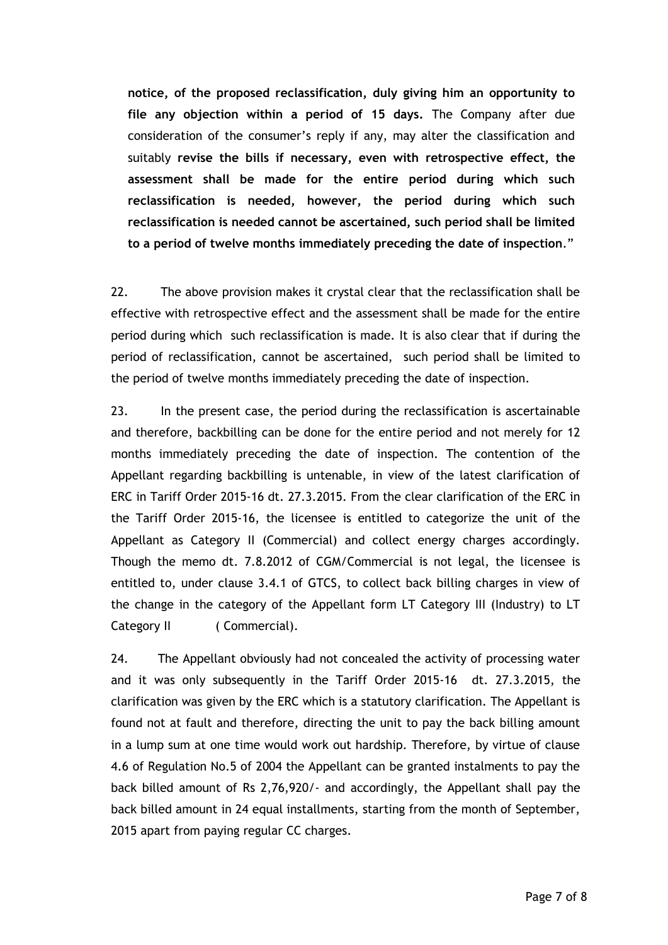**notice, of the proposed reclassification, duly giving him an opportunity to file any objection within a period of 15 days.** The Company after due consideration of the consumer's reply if any, may alter the classification and suitably **revise the bills if necessary, even with retrospective effect, the assessment shall be made for the entire period during which such reclassification is needed, however, the period during which such reclassification is needed cannot be ascertained, such period shall be limited to a period of twelve months immediately preceding the date of inspection**."

22. The above provision makes it crystal clear that the reclassification shall be effective with retrospective effect and the assessment shall be made for the entire period during which such reclassification is made. It is also clear that if during the period of reclassification, cannot be ascertained, such period shall be limited to the period of twelve months immediately preceding the date of inspection.

23. In the present case, the period during the reclassification is ascertainable and therefore, backbilling can be done for the entire period and not merely for 12 months immediately preceding the date of inspection. The contention of the Appellant regarding backbilling is untenable, in view of the latest clarification of ERC in Tariff Order 2015-16 dt. 27.3.2015. From the clear clarification of the ERC in the Tariff Order 2015-16, the licensee is entitled to categorize the unit of the Appellant as Category II (Commercial) and collect energy charges accordingly. Though the memo dt. 7.8.2012 of CGM/Commercial is not legal, the licensee is entitled to, under clause 3.4.1 of GTCS, to collect back billing charges in view of the change in the category of the Appellant form LT Category III (Industry) to LT Category II (Commercial).

24. The Appellant obviously had not concealed the activity of processing water and it was only subsequently in the Tariff Order 2015-16 dt. 27.3.2015, the clarification was given by the ERC which is a statutory clarification. The Appellant is found not at fault and therefore, directing the unit to pay the back billing amount in a lump sum at one time would work out hardship. Therefore, by virtue of clause 4.6 of Regulation No.5 of 2004 the Appellant can be granted instalments to pay the back billed amount of Rs 2,76,920/- and accordingly, the Appellant shall pay the back billed amount in 24 equal installments, starting from the month of September, 2015 apart from paying regular CC charges.